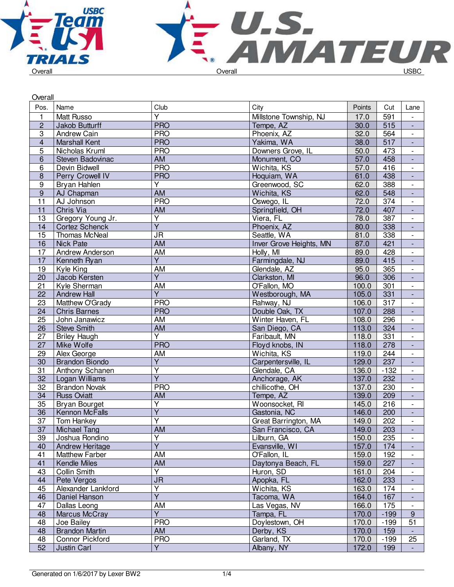



| Overall                 |                       |                         |                         |        |                  |                          |
|-------------------------|-----------------------|-------------------------|-------------------------|--------|------------------|--------------------------|
| Pos.                    | Name                  | Club                    | City                    | Points | Cut              | Lane                     |
| $\mathbf{1}$            | Matt Russo            | Y                       | Millstone Township, NJ  | 17.0   | 591              | $\overline{\phantom{0}}$ |
| $\overline{2}$          | Jakob Butturff        | <b>PRO</b>              | Tempe, AZ               | 30.0   | 515              | $\overline{\phantom{a}}$ |
| 3                       | Andrew Cain           | <b>PRO</b>              | Phoenix, AZ             | 32.0   | 564              | $\overline{\phantom{a}}$ |
| $\overline{\mathbf{4}}$ | <b>Marshall Kent</b>  | <b>PRO</b>              | Yakima, WA              | 38.0   | 517              | $\overline{\phantom{a}}$ |
| $\overline{5}$          | Nicholas Kruml        | <b>PRO</b>              | Downers Grove, IL       | 50.0   | 473              | $\overline{\phantom{a}}$ |
| $\overline{6}$          | Steven Badovinac      | $\overline{AM}$         | Monument, CO            | 57.0   | 458              | $\blacksquare$           |
| 6                       | Devin Bidwell         | <b>PRO</b>              | Wichita, KS             | 57.0   | 416              | $\overline{\phantom{a}}$ |
| $\bf 8$                 | Perry Crowell IV      | <b>PRO</b>              | Hoquiam, WA             | 61.0   | 438              | $\overline{\phantom{a}}$ |
| 9                       | Bryan Hahlen          | Y                       | Greenwood, SC           | 62.0   | 388              | $\blacksquare$           |
| $\boldsymbol{9}$        | AJ Chapman            | <b>AM</b>               | Wichita, KS             | 62.0   | 548              | $\overline{\phantom{a}}$ |
| 11                      | AJ Johnson            | <b>PRO</b>              | Oswego, IL              | 72.0   | 374              | $\overline{\phantom{a}}$ |
| 11                      | Chris Via             | AM                      | Springfield, OH         | 72.0   | 407              | $\overline{\phantom{a}}$ |
| 13                      | Gregory Young Jr.     | Υ                       | Viera, FL               | 78.0   | 387              | $\overline{\phantom{a}}$ |
| 14                      | <b>Cortez Schenck</b> | $\overline{Y}$          | Phoenix, AZ             | 80.0   | 338              |                          |
| 15                      | Thomas McNeal         | <b>JR</b>               | Seattle, WA             | 81.0   | 338              | $\blacksquare$           |
| 16                      | <b>Nick Pate</b>      | <b>AM</b>               | Inver Grove Heights, MN | 87.0   | 421              | $\overline{\phantom{a}}$ |
| 17                      | Andrew Anderson       | AM                      | Holly, MI               | 89.0   | 428              | $\overline{\phantom{a}}$ |
| 17                      | Kenneth Ryan          | $\overline{Y}$          | Farmingdale, NJ         | 89.0   | 415              | $\blacksquare$           |
| 19                      | Kyle King             | AM                      | Glendale, AZ            | 95.0   | 365              | $\blacksquare$           |
| 20                      | Jacob Kersten         | Y                       | Clarkston, MI           | 96.0   | 306              | ÷,                       |
| $\overline{21}$         | Kyle Sherman          | AM                      | O'Fallon, MO            | 100.0  | 301              | $\overline{\phantom{a}}$ |
| 22                      | <b>Andrew Hall</b>    | $\overline{Y}$          | Westborough, MA         | 105.0  | 331              | $\overline{\phantom{a}}$ |
| 23                      | Matthew O'Grady       | <b>PRO</b>              | Rahway, NJ              | 106.0  | 317              | $\overline{\phantom{a}}$ |
| 24                      | <b>Chris Barnes</b>   | <b>PRO</b>              | Double Oak, TX          | 107.0  | 288              | $\overline{\phantom{a}}$ |
| 25                      | John Janawicz         | AM                      | Winter Haven, FL        | 108.0  | 296              | $\blacksquare$           |
| $\overline{26}$         | <b>Steve Smith</b>    | <b>AM</b>               | San Diego, CA           | 113.0  | $\overline{324}$ | $\blacksquare$           |
| 27                      | <b>Briley Haugh</b>   | $\overline{\mathsf{Y}}$ | Faribault, MN           | 118.0  | 331              | $\overline{\phantom{a}}$ |
| 27                      | Mike Wolfe            | <b>PRO</b>              | Floyd knobs, IN         | 118.0  | 278              | $\blacksquare$           |
| 29                      | Alex George           | AM                      | Wichita, KS             | 119.0  | 244              | $\overline{a}$           |
| 30                      | <b>Brandon Biondo</b> | $\overline{Y}$          | Carpentersville, IL     | 129.0  | 237              | $\overline{\phantom{a}}$ |
| 31                      | Anthony Schanen       | $\overline{\mathsf{Y}}$ | Glendale, CA            | 136.0  | $-132$           | $\overline{\phantom{a}}$ |
| 32                      | Logan Williams        | $\overline{\mathsf{Y}}$ | Anchorage, AK           | 137.0  | 232              | $\overline{\phantom{a}}$ |
| 32                      | <b>Brandon Novak</b>  | <b>PRO</b>              | chillicothe, OH         | 137.0  | 230              | $\overline{\phantom{a}}$ |
| 34                      | <b>Russ Oviatt</b>    | AM                      | Tempe, AZ               | 139.0  | 209              |                          |
| 35                      | <b>Bryan Bourget</b>  | Υ                       | Woonsocket, RI          | 145.0  | 216              | $\overline{\phantom{a}}$ |
| $\overline{36}$         | Kennon McFalls        | $\overline{\mathsf{Y}}$ | Gastonia, NC            | 146.0  | 200              | $\overline{\phantom{a}}$ |
| $\overline{37}$         | Tom Hankey            | $\overline{\mathsf{Y}}$ | Great Barrington, MA    | 149.0  | $\overline{202}$ | $\overline{\phantom{a}}$ |
| 37                      | <b>Michael Tang</b>   | AM                      | San Francisco, CA       | 149.0  | 203              |                          |
| 39                      | Joshua Rondino        | $\overline{\mathsf{Y}}$ | Lilburn, GA             | 150.0  | 235              | $\overline{\phantom{0}}$ |
| 40                      | Andrew Heritage       | $\overline{Y}$          | Evansville, WI          | 157.0  | 174              | $\overline{\phantom{a}}$ |
| 41                      | <b>Matthew Farber</b> | AM                      | O'Fallon, IL            | 159.0  | 192              | $\overline{\phantom{a}}$ |
| 41                      | Kendle Miles          | AM                      | Daytonya Beach, FL      | 159.0  | 227              | $\overline{\phantom{a}}$ |
| 43                      | Collin Smith          | Y                       | Huron, SD               | 161.0  | 204              | $\overline{\phantom{a}}$ |
| 44                      | Pete Vergos           | <b>JR</b>               | Apopka, FL              | 162.0  | 233              | $\overline{\phantom{a}}$ |
| 45                      | Alexander Lankford    | Υ                       | Wichita, KS             | 163.0  | 174              | $\overline{\phantom{a}}$ |
| 46                      | Daniel Hanson         | $\overline{\mathsf{Y}}$ | Tacoma, WA              | 164.0  | 167              |                          |
| 47                      | Dallas Leong          | AM                      | Las Vegas, NV           | 166.0  | 175              |                          |
| 48                      | Marcus McCray         | $\overline{Y}$          | Tampa, FL               | 170.0  | $-199$           | $9\,$                    |
| 48                      | Joe Bailey            | <b>PRO</b>              | Doylestown, OH          | 170.0  | $-199$           | 51                       |
| 48                      | <b>Brandon Martin</b> | AM                      | Derby, KS               | 170.0  | 159              | $\blacksquare$           |
| 48                      | Connor Pickford       | <b>PRO</b>              | Garland, TX             | 170.0  | $-199$           | 25                       |
| 52                      | Justin Carl           | Y                       | Albany, NY              | 172.0  | 199              | $\blacksquare$           |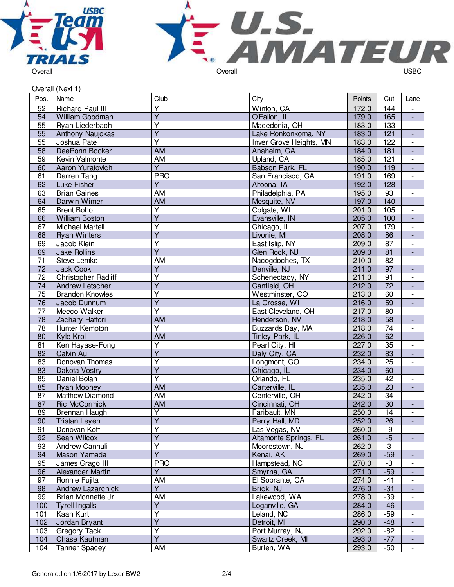



|      | Overall (Next 1)        |                         |                         |        |                           |                          |
|------|-------------------------|-------------------------|-------------------------|--------|---------------------------|--------------------------|
| Pos. | Name                    | Club                    | City                    | Points | Cut                       | Lane                     |
| 52   | <b>Richard Paul III</b> | $\overline{\mathsf{Y}}$ | Winton, CA              | 172.0  | 144                       |                          |
| 54   | William Goodman         | $\overline{\mathsf{Y}}$ | O'Fallon, IL            | 179.0  | 165                       | $\Box$                   |
| 55   | Ryan Liederbach         | $\overline{\mathsf{Y}}$ | Macedonia, OH           | 183.0  | 133                       | $\overline{\phantom{a}}$ |
| 55   | Anthony Naujokas        | $\overline{\mathsf{Y}}$ | Lake Ronkonkoma, NY     | 183.0  | 121                       | $\blacksquare$           |
| 55   | Joshua Pate             | Y                       | Inver Grove Heights, MN | 183.0  | 122                       | $\overline{\phantom{a}}$ |
| 58   | DeeRonn Booker          | <b>AM</b>               | Anaheim, CA             | 184.0  | 181                       | $\blacksquare$           |
| 59   | Kevin Valmonte          | AM                      | Upland, CA              | 185.0  | 121                       | $\overline{\phantom{a}}$ |
| 60   | Aaron Yuratovich        | Y                       | Babson Park, FL         | 190.0  | 119                       | $\blacksquare$           |
| 61   | Darren Tang             | <b>PRO</b>              | San Francisco, CA       | 191.0  | 169                       | $\overline{\phantom{a}}$ |
| 62   | Luke Fisher             | $\overline{Y}$          | Altoona, IA             | 192.0  | 128                       | $\overline{\phantom{a}}$ |
| 63   | <b>Brian Gaines</b>     | AM                      | Philadelphia, PA        | 195.0  | 93                        | $\overline{\phantom{a}}$ |
| 64   | Darwin Wimer            | AM                      | Mesquite, NV            | 197.0  | 140                       | $\blacksquare$           |
| 65   | <b>Brent Boho</b>       | $\overline{\mathsf{Y}}$ | Colgate, WI             | 201.0  | 105                       | $\overline{\phantom{a}}$ |
| 66   | <b>William Boston</b>   | $\overline{\mathsf{Y}}$ | Evansville, IN          | 205.0  | 100                       | $\overline{\phantom{a}}$ |
| 67   | <b>Michael Martell</b>  | Y                       | Chicago, IL             | 207.0  | 179                       | $\overline{\phantom{a}}$ |
| 68   | <b>Ryan Winters</b>     | $\overline{Y}$          | Livonie, MI             | 208.0  | 86                        | $\overline{\phantom{a}}$ |
| 69   | Jacob Klein             | $\overline{\mathsf{Y}}$ | East Islip, NY          | 209.0  | 87                        | $\overline{\phantom{a}}$ |
| 69   | <b>Jake Rollins</b>     | $\overline{Y}$          | Glen Rock, NJ           | 209.0  | 81                        | $\overline{\phantom{a}}$ |
| 71   | Steve Lemke             | AM                      | Nacogdoches, TX         | 210.0  | 82                        | $\overline{\phantom{a}}$ |
| 72   | Jack Cook               | $\overline{Y}$          | Denville, NJ            | 211.0  | $\overline{97}$           | $\blacksquare$           |
| 72   | Christopher Radliff     | Y                       | Schenectady, NY         | 211.0  | 91                        | $\Box$                   |
| 74   | <b>Andrew Letscher</b>  | $\overline{Y}$          | Canfield, OH            | 212.0  | $\overline{72}$           | $\blacksquare$           |
| 75   | <b>Brandon Knowles</b>  | Ÿ                       | Westminster, CO         | 213.0  | 60                        | $\overline{\phantom{a}}$ |
| 76   | Jacob Dunnum            | $\overline{Y}$          | La Crosse, WI           | 216.0  | 59                        | $\overline{\phantom{a}}$ |
| 77   | Meeco Walker            | Ÿ                       | East Cleveland, OH      | 217.0  | 80                        | $\overline{\phantom{a}}$ |
| 78   | Zachary Hattori         | <b>AM</b>               | Henderson, NV           | 218.0  | 58                        | $\overline{\phantom{a}}$ |
| 78   | Hunter Kempton          | $\overline{Y}$          | Buzzards Bay, MA        | 218.0  | $\overline{74}$           | $\overline{\phantom{a}}$ |
| 80   | Kyle Krol               | <b>AM</b>               | Tinley Park, IL         | 226.0  | 62                        | $\overline{\phantom{a}}$ |
| 81   | Ken Hayase-Fong         | $\overline{\mathsf{Y}}$ | Pearl City, HI          | 227.0  | $\overline{35}$           | $\overline{\phantom{a}}$ |
| 82   | Calvin Au               | $\overline{\mathsf{Y}}$ | Daly City, CA           | 232.0  | 83                        | $\overline{\phantom{a}}$ |
| 83   | Donovan Thomas          | Y                       | Longmont, CO            | 234.0  | 25                        | $\overline{\phantom{a}}$ |
| 83   | Dakota Vostry           | $\overline{Y}$          | Chicago, IL             | 234.0  | 60                        | ÷,                       |
| 85   | Daniel Bolan            | $\overline{\mathsf{Y}}$ | Orlando, FL             | 235.0  | 42                        | $\overline{\phantom{a}}$ |
| 85   | <b>Ryan Mooney</b>      | AM                      | Carterville, IL         | 235.0  | 23                        | $\overline{\phantom{a}}$ |
| 87   | Matthew Diamond         | AM                      | Centerville, OH         | 242.0  | 34                        | $\overline{\phantom{a}}$ |
| 87   | <b>Ric McCormick</b>    | <b>AM</b>               | Cincinnati, OH          | 242.0  | 30                        | $\overline{\phantom{a}}$ |
| 89   | Brennan Haugh           | $\overline{Y}$          | Faribault, MN           | 250.0  | $\overline{14}$           | $\overline{\phantom{a}}$ |
| 90   | Tristan Leyen           | Υ                       | Perry Hall, MD          | 252.0  | 26                        | $\overline{\phantom{a}}$ |
| 91   | Donovan Koff            | Y                       | Las Vegas, NV           | 260.0  | -9                        |                          |
| 92   | Sean Wilcox             | $\overline{\mathsf{Y}}$ | Altamonte Springs, FL   | 261.0  | $-5$                      |                          |
| 93   | Andrew Cannuli          | Y                       | Moorestown, NJ          | 262.0  | $\ensuremath{\mathsf{3}}$ | $\blacksquare$           |
| 94   | Mason Yamada            | $\overline{Y}$          | Kenai, AK               | 269.0  | $-59$                     |                          |
| 95   | James Grago III         | <b>PRO</b>              | Hampstead, NC           | 270.0  | $-3$                      | $\overline{\phantom{a}}$ |
| 96   | Alexander Martin        | Y                       | Smyrna, GA              | 271.0  | $-59$                     | $\overline{\phantom{a}}$ |
| 97   | Ronnie Fujita           | AM                      | El Sobrante, CA         | 274.0  | $-41$                     | -                        |
| 98   | Andrew Lazarchick       | Y                       | Brick, NJ               | 276.0  | $-31$                     | $\overline{\phantom{a}}$ |
| 99   | Brian Monnette Jr.      | AM                      | Lakewood, WA            | 278.0  | $-39$                     | $\overline{\phantom{a}}$ |
| 100  | <b>Tyrell Ingalls</b>   | $\overline{Y}$          | Loganville, GA          | 284.0  | $-46$                     | ٠                        |
| 101  | Kaan Kurt               | $\overline{\mathsf{Y}}$ | Leland, NC              | 286.0  | $-59$                     | $\overline{\phantom{a}}$ |
| 102  | Jordan Bryant           | $\overline{Y}$          | Detroit, MI             | 290.0  | $-48$                     | $\blacksquare$           |
| 103  | Gregory Tack            | $\overline{\mathsf{Y}}$ | Port Murray, NJ         | 292.0  | $-82$                     | $\overline{\phantom{a}}$ |
| 104  | Chase Kaufman           | $\overline{Y}$          | Swartz Creek, MI        | 293.0  | $-77$                     |                          |
| 104  | <b>Tanner Spacey</b>    | AM                      | Burien, WA              | 293.0  | $-50$                     | $\blacksquare$           |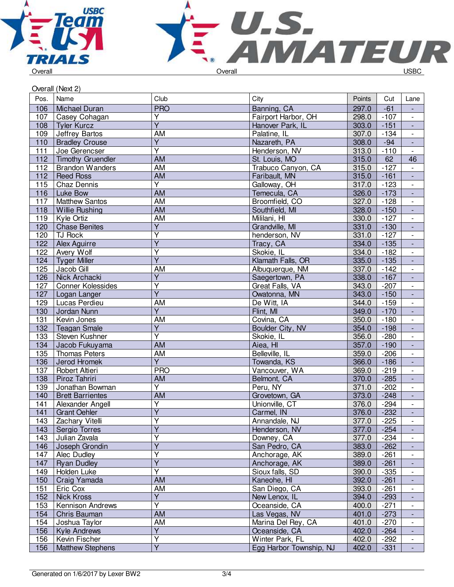



|      | Overall (Next 2)         |                         |                         |        |        |                          |
|------|--------------------------|-------------------------|-------------------------|--------|--------|--------------------------|
| Pos. | Name                     | Club                    | City                    | Points | Cut    | Lane                     |
| 106  | Michael Duran            | <b>PRO</b>              | Banning, CA             | 297.0  | $-61$  |                          |
| 107  | Casey Cohagan            | Y                       | Fairport Harbor, OH     | 298.0  | $-107$ | $\blacksquare$           |
| 108  | <b>Tyler Kurcz</b>       | $\overline{Y}$          | Hanover Park, IL        | 303.0  | $-151$ | $\blacksquare$           |
| 109  | Jeffrey Bartos           | <b>AM</b>               | Palatine, IL            | 307.0  | $-134$ | $\overline{\phantom{a}}$ |
| 110  | <b>Bradley Crouse</b>    | Y                       | Nazareth, PA            | 308.0  | $-94$  | $\overline{\phantom{a}}$ |
| 111  | Joe Gerencser            | $\overline{\mathsf{Y}}$ | Henderson, NV           | 313.0  | $-110$ |                          |
| 112  | <b>Timothy Gruendler</b> | <b>AM</b>               | St. Louis, MO           | 315.0  | 62     | 46                       |
| 112  | <b>Brandon Wanders</b>   | <b>AM</b>               | Trabuco Canyon, CA      | 315.0  | $-127$ | $\overline{\phantom{a}}$ |
| 112  | <b>Reed Ross</b>         | $\overline{AM}$         | Faribault, MN           | 315.0  | $-161$ | $\overline{\phantom{a}}$ |
| 115  | Chaz Dennis              | $\overline{Y}$          | Galloway, OH            | 317.0  | $-123$ | $\blacksquare$           |
| 116  | Luke Bow                 | <b>AM</b>               | Temecula, CA            | 326.0  | $-173$ | $\Box$                   |
| 117  | <b>Matthew Santos</b>    | <b>AM</b>               | Broomfield, CO          | 327.0  | $-128$ | $\Box$                   |
| 118  | <b>Willie Rushing</b>    | <b>AM</b>               | Southfield, MI          | 328.0  | $-150$ | ÷,                       |
| 119  | Kyle Ortiz               | $\overline{AM}$         | Mililani, HI            | 330.0  | $-127$ | $\overline{\phantom{a}}$ |
| 120  | <b>Chase Benites</b>     | $\overline{Y}$          | Grandville, MI          | 331.0  | $-130$ | $\overline{\phantom{a}}$ |
| 120  | <b>TJ Rock</b>           | $\overline{\mathsf{Y}}$ | henderson, NV           | 331.0  | $-127$ |                          |
| 122  | Alex Aguirre             | $\overline{Y}$          | Tracy, CA               | 334.0  | $-135$ |                          |
| 122  | Avery Wolf               | $\overline{Y}$          | Skokie, IL              | 334.0  | $-182$ | $\overline{\phantom{a}}$ |
| 124  | <b>Tyger Miller</b>      | $\overline{Y}$          | Klamath Falls, OR       | 335.0  | $-135$ | $\overline{\phantom{a}}$ |
| 125  | Jacob Gill               | AM                      | Albuquerque, NM         | 337.0  | $-142$ | $\overline{\phantom{a}}$ |
| 126  | Nick Archacki            | $\overline{\mathsf{Y}}$ | Saegertown, PA          | 338.0  | $-167$ | $\Box$                   |
| 127  | <b>Conner Kolessides</b> | $\overline{Y}$          | Great Falls, VA         | 343.0  | $-207$ | $\overline{\phantom{a}}$ |
| 127  | Logan Langer             | $\overline{Y}$          | Owatonna, MN            | 343.0  | $-150$ | $\blacksquare$           |
| 129  | Lucas Perdieu            | <b>AM</b>               | De Witt, IA             | 344.0  | $-159$ | $\overline{\phantom{a}}$ |
| 130  | Jordan Nunn              | $\overline{Y}$          | Flint, MI               | 349.0  | $-170$ | $\blacksquare$           |
| 131  | Kevin Jones              | AM                      | Covina, CA              | 350.0  | $-180$ |                          |
| 132  | <b>Teagan Smale</b>      | $\overline{Y}$          | Boulder City, NV        | 354.0  | $-198$ | $\blacksquare$           |
| 133  | Steven Kushner           | $\overline{\mathsf{Y}}$ | Skokie, IL              | 356.0  | $-280$ | $\overline{\phantom{a}}$ |
| 134  | Jacob Fukuyama           | <b>AM</b>               | Aiea, HI                | 357.0  | $-190$ | $\blacksquare$           |
| 135  | <b>Thomas Peters</b>     | <b>AM</b>               | Belleville, IL          | 359.0  | $-206$ | $\overline{\phantom{a}}$ |
| 136  | Jerod Hromek             | $\overline{Y}$          | Towanda, KS             | 366.0  | $-186$ | $\blacksquare$           |
| 137  | Robert Altieri           | <b>PRO</b>              | Vancouver, WA           | 369.0  | $-219$ | $\overline{\phantom{a}}$ |
| 138  | Piroz Tahriri            | <b>AM</b>               | Belmont, CA             | 370.0  | $-285$ | $\blacksquare$           |
| 139  | Jonathan Bowman          | $\overline{\mathsf{Y}}$ | Peru, NY                | 371.0  | $-202$ | $\overline{\phantom{a}}$ |
| 140  | <b>Brett Barrientes</b>  | <b>AM</b>               | Grovetown, GA           | 373.0  | $-248$ | $\overline{\phantom{a}}$ |
| 141  | Alexander Angell         | $\overline{Y}$          | Unionville, CT          | 376.0  | $-294$ |                          |
| 141  | <b>Grant Oehler</b>      | $\overline{Y}$          | Carmel, IN              | 376.0  | $-232$ |                          |
| 143  | Zachary Vitelli          | Υ                       | Annandale, NJ           | 377.0  | $-225$ | $\overline{\phantom{a}}$ |
| 143  | Sergio Torres            | $\overline{\mathsf{Y}}$ | Henderson, NV           | 377.0  | $-254$ |                          |
| 143  | Julian Zavala            | Υ                       | Downey, CA              | 377.0  | $-234$ |                          |
| 146  | Joseph Grondin           | $\overline{Y}$          | San Pedro, CA           | 383.0  | $-262$ |                          |
| 147  | <b>Alec Dudley</b>       | $\overline{Y}$          | Anchorage, AK           | 389.0  | $-261$ | $\overline{\phantom{a}}$ |
| 147  | <b>Ryan Dudley</b>       | $\overline{Y}$          | Anchorage, AK           | 389.0  | $-261$ | $\blacksquare$           |
| 149  | Holden Luke              | Ý                       | Sioux falls, SD         | 390.0  | $-335$ | $\overline{\phantom{a}}$ |
| 150  | Craig Yamada             | AM                      | Kaneohe, HI             | 392.0  | $-261$ | $\blacksquare$           |
| 151  | Eric Cox                 | AM                      | San Diego, CA           | 393.0  | $-261$ | $\overline{\phantom{a}}$ |
| 152  | <b>Nick Kross</b>        | $\overline{Y}$          | New Lenox, IL           | 394.0  | $-293$ |                          |
| 153  | Kennison Andrews         | $\overline{\mathsf{Y}}$ | Oceanside, CA           | 400.0  | $-271$ | $\overline{\phantom{a}}$ |
| 154  | Chris Bauman             | AM                      | Las Vegas, NV           | 401.0  | $-273$ | $\overline{\phantom{a}}$ |
| 154  | Joshua Taylor            | AM                      | Marina Del Rey, CA      | 401.0  | $-270$ |                          |
| 156  | Kyle Andrews             | $\overline{\mathsf{Y}}$ | Oceanside, CA           | 402.0  | $-264$ | $\blacksquare$           |
| 156  | Kevin Fischer            | $\overline{Y}$          | Winter Park, FL         | 402.0  | $-292$ | $\overline{\phantom{a}}$ |
| 156  | <b>Matthew Stephens</b>  | $\overline{Y}$          | Egg Harbor Township, NJ | 402.0  | $-331$ | $\Box$                   |